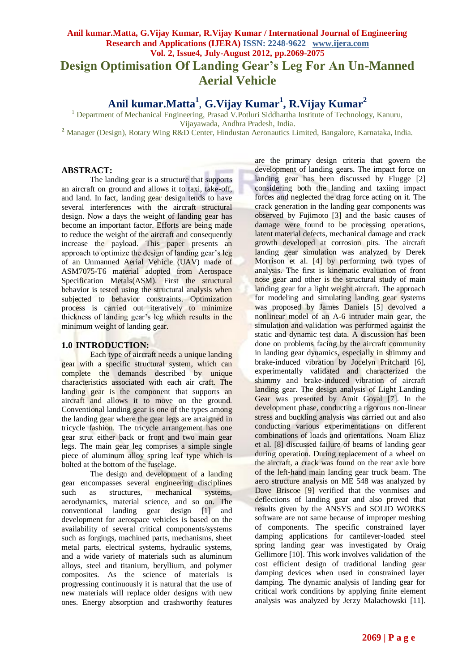# **Anil kumar.Matta, G.Vijay Kumar, R.Vijay Kumar / International Journal of Engineering Research and Applications (IJERA) ISSN: 2248-9622 www.ijera.com Vol. 2, Issue4, July-August 2012, pp.2069-2075 Design Optimisation Of Landing Gear's Leg For An Un-Manned Aerial Vehicle**

**Anil kumar.Matta<sup>1</sup>** , **G.Vijay Kumar<sup>1</sup> , R.Vijay Kumar<sup>2</sup>**

<sup>1</sup> Department of Mechanical Engineering, Prasad V.Potluri Siddhartha Institute of Technology, Kanuru, Vijayawada, Andhra Pradesh, India.

**<sup>2</sup>** Manager (Design), Rotary Wing R&D Center, Hindustan Aeronautics Limited, Bangalore, Karnataka, India.

### **ABSTRACT:**

The landing gear is a structure that supports an aircraft on ground and allows it to taxi, take-off, and land. In fact, landing gear design tends to have several interferences with the aircraft structural design. Now a days the weight of landing gear has become an important factor. Efforts are being made to reduce the weight of the aircraft and consequently increase the payload. This paper presents an approach to optimize the design of landing gear's leg of an Unmanned Aerial Vehicle (UAV) made of ASM7075-T6 material adopted from Aerospace Specification Metals(ASM). First the structural behavior is tested using the structural analysis when subjected to behavior constraints. Optimization process is carried out iteratively to minimize thickness of landing gear's leg which results in the minimum weight of landing gear.

# **1.0 INTRODUCTION:**

Each type of aircraft needs a unique landing gear with a specific structural system, which can complete the demands described by unique characteristics associated with each air craft. The landing gear is the component that supports an aircraft and allows it to move on the ground. Conventional landing gear is one of the types among the landing gear where the gear legs are arraigned in tricycle fashion. The tricycle arrangement has one gear strut either back or front and two main gear legs. The main gear leg comprises a simple single piece of aluminum alloy spring leaf type which is bolted at the bottom of the fuselage.

The design and development of a landing gear encompasses several engineering disciplines such as structures, mechanical systems, aerodynamics, material science, and so on. The conventional landing gear design [1] and development for aerospace vehicles is based on the availability of several critical components/systems such as forgings, machined parts, mechanisms, sheet metal parts, electrical systems, hydraulic systems, and a wide variety of materials such as aluminum alloys, steel and titanium, beryllium, and polymer composites. As the science of materials is progressing continuously it is natural that the use of new materials will replace older designs with new ones. Energy absorption and crashworthy features

are the primary design criteria that govern the development of landing gears. The impact force on landing gear has been discussed by Flugge [2] considering both the landing and taxiing impact forces and neglected the drag force acting on it. The crack generation in the landing gear components was observed by Fujimoto [3] and the basic causes of damage were found to be processing operations, latent material defects, mechanical damage and crack growth developed at corrosion pits. The aircraft landing gear simulation was analyzed by Derek Morrison et al. [4] by performing two types of analysis. The first is kinematic evaluation of front nose gear and other is the structural study of main landing gear for a light weight aircraft. The approach for modeling and simulating landing gear systems was proposed by James Daniels [5] devolved a nonlinear model of an A-6 intruder main gear, the simulation and validation was performed against the static and dynamic test data. A discussion has been done on problems facing by the aircraft community in landing gear dynamics, especially in shimmy and brake-induced vibration by Jocelyn Pritchard [6], experimentally validated and characterized the shimmy and brake-induced vibration of aircraft landing gear. The design analysis of Light Landing Gear was presented by Amit Goyal [7]. In the development phase, conducting a rigorous non-linear stress and buckling analysis was carried out and also conducting various experimentations on different combinations of loads and orientations. Noam Eliaz et al. [8] discussed failure of beams of landing gear during operation. During replacement of a wheel on the aircraft, a crack was found on the rear axle bore of the left-hand main landing gear truck beam. The aero structure analysis on ME 548 was analyzed by Dave Briscoe [9] verified that the vonmises and deflections of landing gear and also proved that results given by the ANSYS and SOLID WORKS software are not same because of improper meshing of components. The specific constrained layer damping applications for cantilever-loaded steel spring landing gear was investigated by Oraig Gellimore [10]. This work involves validation of the cost efficient design of traditional landing gear damping devices when used in constrained layer damping. The dynamic analysis of landing gear for critical work conditions by applying finite element analysis was analyzed by Jerzy Malachowski [11].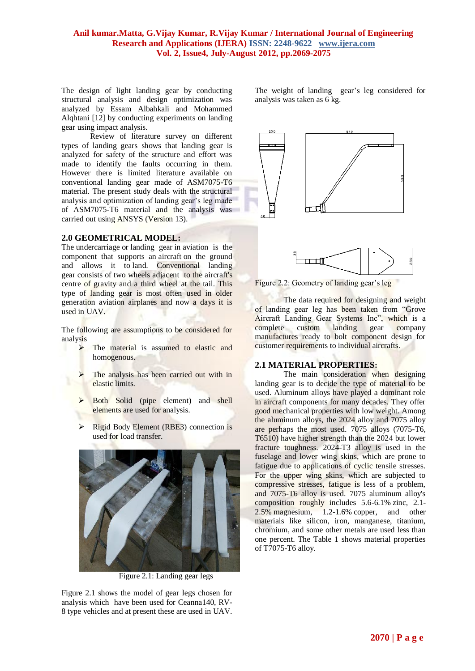### **Anil kumar.Matta, G.Vijay Kumar, R.Vijay Kumar / International Journal of Engineering Research and Applications (IJERA) ISSN: 2248-9622 www.ijera.com Vol. 2, Issue4, July-August 2012, pp.2069-2075**

The design of light landing gear by conducting structural analysis and design optimization was analyzed by Essam Albahkali and Mohammed Alqhtani [12] by conducting experiments on landing gear using impact analysis.

Review of literature survey on different types of landing gears shows that landing gear is analyzed for safety of the structure and effort was made to identify the faults occurring in them. However there is limited literature available on conventional landing gear made of ASM7075-T6 material. The present study deals with the structural analysis and optimization of landing gear's leg made of ASM7075-T6 material and the analysis was carried out using ANSYS (Version 13).

#### **2.0 GEOMETRICAL MODEL:**

The undercarriage or landing gear in aviation is the component that supports an aircraft on the ground and allows it to land. Conventional landing gear consists of two wheels adjacent to the aircraft's centre of gravity and a third wheel at the tail. This type of landing gear is most often used in older generation aviation airplanes and now a days it is used in UAV.

The following are assumptions to be considered for analysis

- $\triangleright$  The material is assumed to elastic and homogenous.
- $\triangleright$  The analysis has been carried out with in elastic limits.
- > Both Solid (pipe element) and shell elements are used for analysis.
- $\triangleright$  Rigid Body Element (RBE3) connection is used for load transfer.



Figure 2.1: Landing gear legs

Figure 2.1 shows the model of gear legs chosen for analysis which have been used for Ceanna140, RV-8 type vehicles and at present these are used in UAV. The weight of landing gear's leg considered for analysis was taken as 6 kg.





Figure 2.2: Geometry of landing gear's leg

The data required for designing and weight of landing gear leg has been taken from "Grove Aircraft Landing Gear Systems Inc", which is a complete custom landing gear company complete custom landing gear company manufactures ready to bolt component design for customer requirements to individual aircrafts.

#### **2.1 MATERIAL PROPERTIES:**

The main consideration when designing landing gear is to decide the type of material to be used. Aluminum alloys have played a dominant role in aircraft components for many decades. They offer good mechanical properties with low weight. Among the aluminum alloys, the 2024 alloy and 7075 alloy are perhaps the most used. 7075 alloys (7075-T6, T6510) have higher strength than the 2024 but lower fracture toughness. 2024-T3 alloy is used in the fuselage and lower wing skins, which are prone to fatigue due to applications of cyclic tensile stresses. For the upper wing skins, which are subjected to compressive stresses, fatigue is less of a problem, and 7075-T6 alloy is used. 7075 aluminum alloy's composition roughly includes 5.6-6.1% zinc, 2.1- 2.5% magnesium, 1.2-1.6% copper, and other materials like silicon, iron, manganese, titanium, chromium, and some other metals are used less than one percent. The Table 1 shows material properties of T7075-T6 alloy.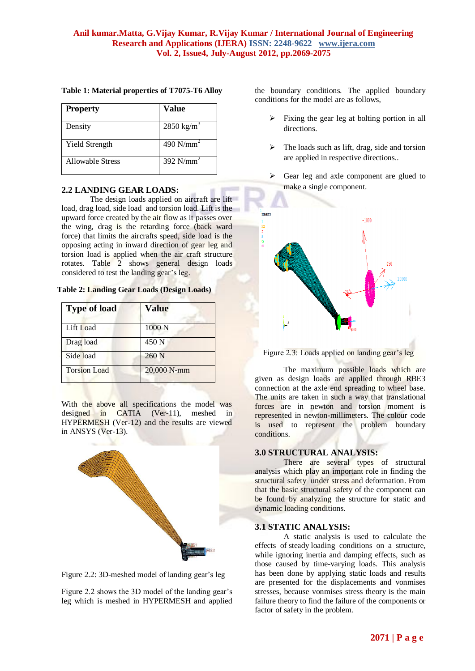| <b>Property</b>         | Value                 |
|-------------------------|-----------------------|
| Density                 | $2850 \text{ kg/m}^3$ |
| <b>Yield Strength</b>   | 490 $N/mm2$           |
| <b>Allowable Stress</b> | 392 $N/mm2$           |

# **Table 1: Material properties of T7075-T6 Alloy**

# **2.2 LANDING GEAR LOADS:**

The design loads applied on aircraft are lift load, drag load, side load and torsion load. Lift is the upward force created by the air flow as it passes over the wing, drag is the retarding force (back ward force) that limits the aircrafts speed, side load is the opposing acting in inward direction of gear leg and torsion load is applied when the air craft structure rotates. Table 2 shows general design loads considered to test the landing gear's leg.

|  | Table 2: Landing Gear Loads (Design Loads) |  |  |  |  |
|--|--------------------------------------------|--|--|--|--|
|--|--------------------------------------------|--|--|--|--|

| <b>Type of load</b> | <b>Value</b> |
|---------------------|--------------|
| Lift Load           | 1000 N       |
| Drag load           | 450 N        |
| Side load           | $260$ N      |
| <b>Torsion Load</b> | 20,000 N-mm  |

With the above all specifications the model was designed in CATIA (Ver-11), meshed in HYPERMESH (Ver-12) and the results are viewed in ANSYS (Ver-13).





Figure 2.2 shows the 3D model of the landing gear's leg which is meshed in HYPERMESH and applied the boundary conditions. The applied boundary conditions for the model are as follows,

- Fixing the gear leg at bolting portion in all directions.
- $\triangleright$  The loads such as lift, drag, side and torsion are applied in respective directions..
- $\triangleright$  Gear leg and axle component are glued to make a single component.





The maximum possible loads which are given as design loads are applied through RBE3 connection at the axle end spreading to wheel base. The units are taken in such a way that translational forces are in newton and torsion moment is represented in newton-millimeters. The colour code is used to represent the problem boundary conditions.

#### **3.0 STRUCTURAL ANALYSIS:**

There are several types of structural analysis which play an important role in finding the structural safety under stress and deformation. From that the basic structural safety of the component can be found by analyzing the structure for static and dynamic loading conditions.

#### **3.1 STATIC ANALYSIS:**

A static analysis is used to calculate the effects of steady loading conditions on a structure, while ignoring inertia and damping effects, such as those caused by time-varying loads. This analysis has been done by applying static loads and results are presented for the displacements and vonmises stresses, because vonmises stress theory is the main failure theory to find the failure of the components or factor of safety in the problem.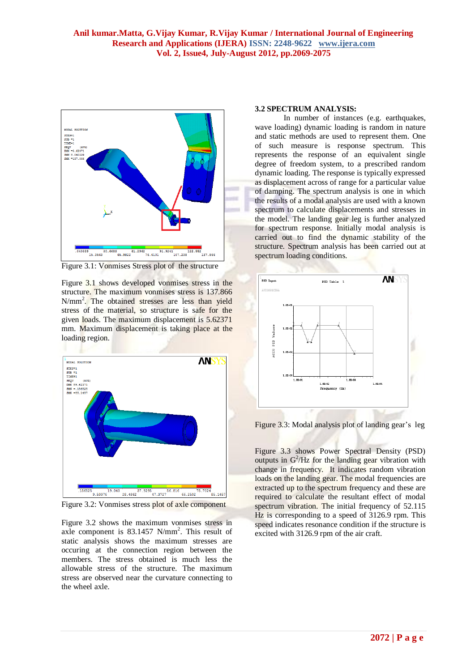

Figure 3.1: Vonmises Stress plot of the structure

Figure 3.1 shows developed vonmises stress in the structure. The maximum vonmises stress is 137.866 N/mm<sup>2</sup>. The obtained stresses are less than yield stress of the material, so structure is safe for the given loads. The maximum displacement is 5.62371 mm. Maximum displacement is taking place at the loading region.



Figure 3.2: Vonmises stress plot of axle component

Figure 3.2 shows the maximum vonmises stress in axle component is 83.1457 N/mm<sup>2</sup>. This result of static analysis shows the maximum stresses are occuring at the connection region between the members. The stress obtained is much less the allowable stress of the structure. The maximum stress are observed near the curvature connecting to the wheel axle.

#### **3.2 SPECTRUM ANALYSIS:**

In number of instances (e.g. earthquakes, wave loading) dynamic loading is random in nature and static methods are used to represent them. One of such measure is response spectrum. This represents the response of an equivalent single degree of freedom system, to a prescribed random dynamic loading. The response is typically expressed as displacement across of range for a particular value of damping. The spectrum analysis is one in which the results of a modal analysis are used with a known spectrum to calculate displacements and stresses in the model. The landing gear leg is further analyzed for spectrum response. Initially modal analysis is carried out to find the dynamic stability of the structure. Spectrum analysis has been carried out at spectrum loading conditions.



Figure 3.3: Modal analysis plot of landing gear's leg

Figure 3.3 shows Power Spectral Density (PSD) outputs in  $G^2/Hz$  for the landing gear vibration with change in frequency. It indicates random vibration loads on the landing gear. The modal frequencies are extracted up to the spectrum frequency and these are required to calculate the resultant effect of modal spectrum vibration. The initial frequency of 52.115 Hz is corresponding to a speed of 3126.9 rpm. This speed indicates resonance condition if the structure is excited with 3126.9 rpm of the air craft.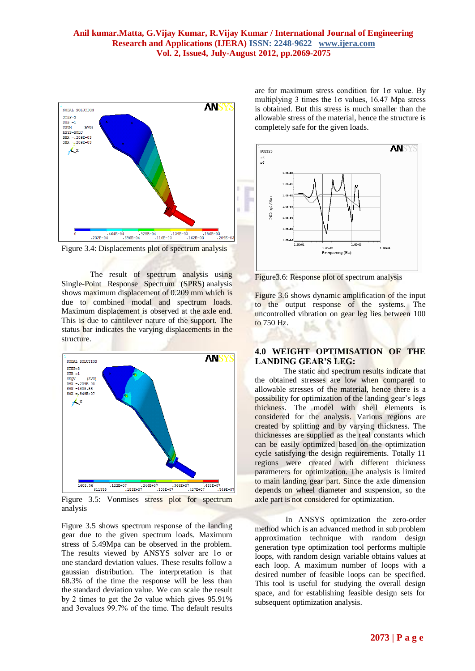

Figure 3.4: Displacements plot of spectrum analysis

The result of spectrum analysis using Single-Point Response Spectrum (SPRS) analysis shows maximum displacement of 0.209 mm which is due to combined modal and spectrum loads. Maximum displacement is observed at the axle end. This is due to cantilever nature of the support. The status bar indicates the varying displacements in the structure.



Figure 3.5: Vonmises stress plot for spectrum analysis

Figure 3.5 shows spectrum response of the landing gear due to the given spectrum loads. Maximum stress of 5.49Mpa can be observed in the problem. The results viewed by ANSYS solver are 1σ or one standard deviation values. These results follow a gaussian distribution. The interpretation is that 68.3% of the time the response will be less than the standard deviation value. We can scale the result by 2 times to get the  $2\sigma$  value which gives 95.91% and 3σvalues 99.7% of the time. The default results

are for maximum stress condition for 1σ value. By multiplying 3 times the  $1\sigma$  values, 16.47 Mpa stress is obtained. But this stress is much smaller than the allowable stress of the material, hence the structure is completely safe for the given loads.



Figure3.6: Response plot of spectrum analysis

Figure 3.6 shows dynamic amplification of the input to the output response of the systems. The uncontrolled vibration on gear leg lies between 100 to 750 Hz.

# **4.0 WEIGHT OPTIMISATION OF THE LANDING GEAR'S LEG:**

The static and spectrum results indicate that the obtained stresses are low when compared to allowable stresses of the material, hence there is a possibility for optimization of the landing gear's legs thickness. The model with shell elements is considered for the analysis. Various regions are created by splitting and by varying thickness. The thicknesses are supplied as the real constants which can be easily optimized based on the optimization cycle satisfying the design requirements. Totally 11 regions were created with different thickness parameters for optimization. The analysis is limited to main landing gear part. Since the axle dimension depends on wheel diameter and suspension, so the axle part is not considered for optimization.

In ANSYS optimization the zero-order method which is an advanced method in sub problem approximation technique with random design generation type optimization tool performs multiple loops, with random design variable obtains values at each loop. A maximum number of loops with a desired number of feasible loops can be specified. This tool is useful for studying the overall design space, and for establishing feasible design sets for subsequent optimization analysis.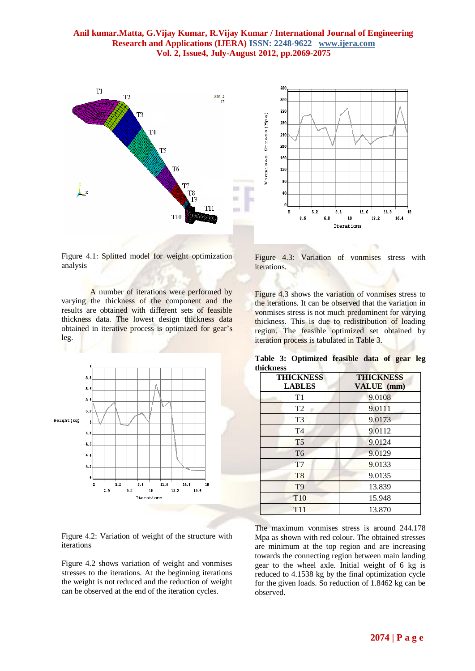# **Anil kumar.Matta, G.Vijay Kumar, R.Vijay Kumar / International Journal of Engineering Research and Applications (IJERA) ISSN: 2248-9622 www.ijera.com Vol. 2, Issue4, July-August 2012, pp.2069-2075**





Figure 4.1: Splitted model for weight optimization analysis

A number of iterations were performed by varying the thickness of the component and the results are obtained with different sets of feasible thickness data. The lowest design thickness data obtained in iterative process is optimized for gear's leg.



Figure 4.2: Variation of weight of the structure with iterations

Figure 4.2 shows variation of weight and vonmises stresses to the iterations. At the beginning iterations the weight is not reduced and the reduction of weight can be observed at the end of the iteration cycles.

Figure 4.3: Variation of vonmises stress with iterations.

Figure 4.3 shows the variation of vonmises stress to the iterations. It can be observed that the variation in vonmises stress is not much predominent for varying thickness. This is due to redistribution of loading region. The feasible optimized set obtained by iteration process is tabulated in Table 3.

**Table 3: Optimized feasible data of gear leg thickness**

| <b>THICKNESS</b><br><b>LABLES</b> | <b>THICKNESS</b><br>VALUE (mm) |
|-----------------------------------|--------------------------------|
| T1                                | 9.0108                         |
| T <sub>2</sub>                    | 9.0111                         |
| T <sub>3</sub>                    | 9.0173                         |
| T <sub>4</sub>                    | 9.0112                         |
| T <sub>5</sub>                    | 9.0124                         |
| T <sub>6</sub>                    | 9.0129                         |
| T <sub>7</sub>                    | 9.0133                         |
| T <sub>8</sub>                    | 9.0135                         |
| T <sub>9</sub>                    | 13.839                         |
| T <sub>10</sub>                   | 15.948                         |
| <b>T11</b>                        | 13.870                         |

The maximum vonmises stress is around 244.178 Mpa as shown with red colour. The obtained stresses are minimum at the top region and are increasing towards the connecting region between main landing gear to the wheel axle. Initial weight of 6 kg is reduced to 4.1538 kg by the final optimization cycle for the given loads. So reduction of 1.8462 kg can be observed.